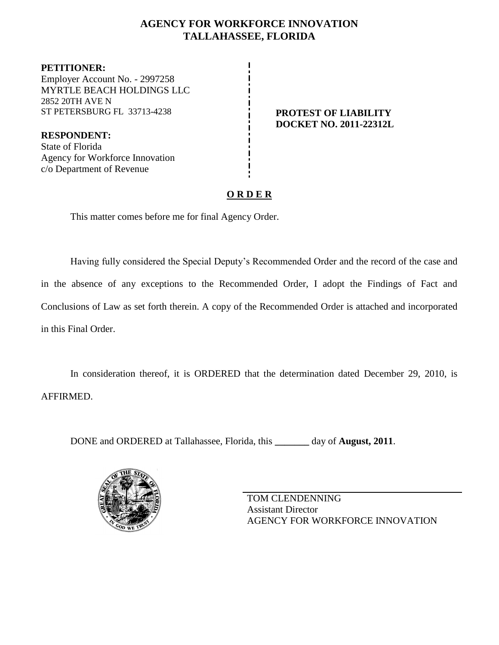## **AGENCY FOR WORKFORCE INNOVATION TALLAHASSEE, FLORIDA**

**PETITIONER:** Employer Account No. - 2997258 MYRTLE BEACH HOLDINGS LLC 2852 20TH AVE N ST PETERSBURG FL 33713-4238 **PROTEST OF LIABILITY** 

**DOCKET NO. 2011-22312L**

**RESPONDENT:** State of Florida Agency for Workforce Innovation c/o Department of Revenue

# **O R D E R**

This matter comes before me for final Agency Order.

Having fully considered the Special Deputy's Recommended Order and the record of the case and in the absence of any exceptions to the Recommended Order, I adopt the Findings of Fact and Conclusions of Law as set forth therein. A copy of the Recommended Order is attached and incorporated in this Final Order.

In consideration thereof, it is ORDERED that the determination dated December 29, 2010, is AFFIRMED.

DONE and ORDERED at Tallahassee, Florida, this **\_\_\_\_\_\_\_** day of **August, 2011**.



TOM CLENDENNING Assistant Director AGENCY FOR WORKFORCE INNOVATION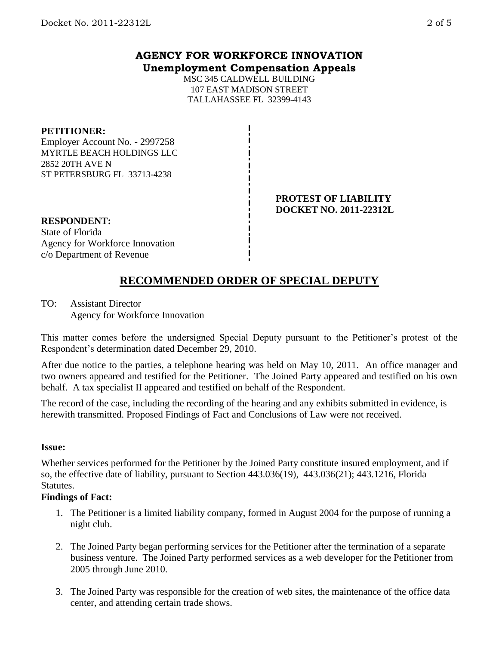### **AGENCY FOR WORKFORCE INNOVATION Unemployment Compensation Appeals**

MSC 345 CALDWELL BUILDING 107 EAST MADISON STREET TALLAHASSEE FL 32399-4143

#### **PETITIONER:**

Employer Account No. - 2997258 MYRTLE BEACH HOLDINGS LLC 2852 20TH AVE N ST PETERSBURG FL 33713-4238

#### **PROTEST OF LIABILITY DOCKET NO. 2011-22312L**

#### **RESPONDENT:** State of Florida Agency for Workforce Innovation c/o Department of Revenue

# **RECOMMENDED ORDER OF SPECIAL DEPUTY**

TO: Assistant Director Agency for Workforce Innovation

This matter comes before the undersigned Special Deputy pursuant to the Petitioner's protest of the Respondent's determination dated December 29, 2010.

After due notice to the parties, a telephone hearing was held on May 10, 2011. An office manager and two owners appeared and testified for the Petitioner. The Joined Party appeared and testified on his own behalf. A tax specialist II appeared and testified on behalf of the Respondent.

The record of the case, including the recording of the hearing and any exhibits submitted in evidence, is herewith transmitted. Proposed Findings of Fact and Conclusions of Law were not received.

#### **Issue:**

Whether services performed for the Petitioner by the Joined Party constitute insured employment, and if so, the effective date of liability, pursuant to Section 443.036(19), 443.036(21); 443.1216, Florida Statutes.

#### **Findings of Fact:**

- 1. The Petitioner is a limited liability company, formed in August 2004 for the purpose of running a night club.
- 2. The Joined Party began performing services for the Petitioner after the termination of a separate business venture. The Joined Party performed services as a web developer for the Petitioner from 2005 through June 2010.
- 3. The Joined Party was responsible for the creation of web sites, the maintenance of the office data center, and attending certain trade shows.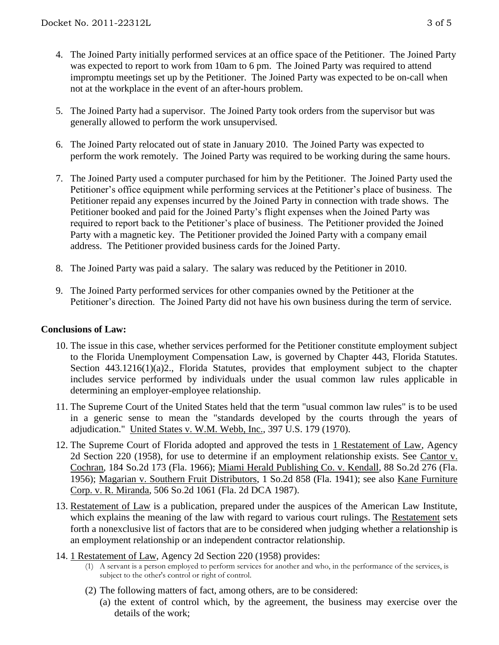- 4. The Joined Party initially performed services at an office space of the Petitioner. The Joined Party was expected to report to work from 10am to 6 pm. The Joined Party was required to attend impromptu meetings set up by the Petitioner. The Joined Party was expected to be on-call when not at the workplace in the event of an after-hours problem.
- 5. The Joined Party had a supervisor. The Joined Party took orders from the supervisor but was generally allowed to perform the work unsupervised.
- 6. The Joined Party relocated out of state in January 2010. The Joined Party was expected to perform the work remotely. The Joined Party was required to be working during the same hours.
- 7. The Joined Party used a computer purchased for him by the Petitioner. The Joined Party used the Petitioner's office equipment while performing services at the Petitioner's place of business. The Petitioner repaid any expenses incurred by the Joined Party in connection with trade shows. The Petitioner booked and paid for the Joined Party's flight expenses when the Joined Party was required to report back to the Petitioner's place of business. The Petitioner provided the Joined Party with a magnetic key. The Petitioner provided the Joined Party with a company email address. The Petitioner provided business cards for the Joined Party.
- 8. The Joined Party was paid a salary. The salary was reduced by the Petitioner in 2010.
- 9. The Joined Party performed services for other companies owned by the Petitioner at the Petitioner's direction. The Joined Party did not have his own business during the term of service.

#### **Conclusions of Law:**

- 10. The issue in this case, whether services performed for the Petitioner constitute employment subject to the Florida Unemployment Compensation Law, is governed by Chapter 443, Florida Statutes. Section 443.1216(1)(a)2., Florida Statutes, provides that employment subject to the chapter includes service performed by individuals under the usual common law rules applicable in determining an employer-employee relationship.
- 11. The Supreme Court of the United States held that the term "usual common law rules" is to be used in a generic sense to mean the "standards developed by the courts through the years of adjudication." United States v. W.M. Webb, Inc., 397 U.S. 179 (1970).
- 12. The Supreme Court of Florida adopted and approved the tests in 1 Restatement of Law, Agency 2d Section 220 (1958), for use to determine if an employment relationship exists. See Cantor v. Cochran, 184 So.2d 173 (Fla. 1966); Miami Herald Publishing Co. v. Kendall, 88 So.2d 276 (Fla. 1956); Magarian v. Southern Fruit Distributors, 1 So.2d 858 (Fla. 1941); see also Kane Furniture Corp. v. R. Miranda, 506 So.2d 1061 (Fla. 2d DCA 1987).
- 13. Restatement of Law is a publication, prepared under the auspices of the American Law Institute, which explains the meaning of the law with regard to various court rulings. The Restatement sets forth a nonexclusive list of factors that are to be considered when judging whether a relationship is an employment relationship or an independent contractor relationship.
- 14. 1 Restatement of Law, Agency 2d Section 220 (1958) provides:
	- (1) A servant is a person employed to perform services for another and who, in the performance of the services, is subject to the other's control or right of control.
	- (2) The following matters of fact, among others, are to be considered:
		- (a) the extent of control which, by the agreement, the business may exercise over the details of the work;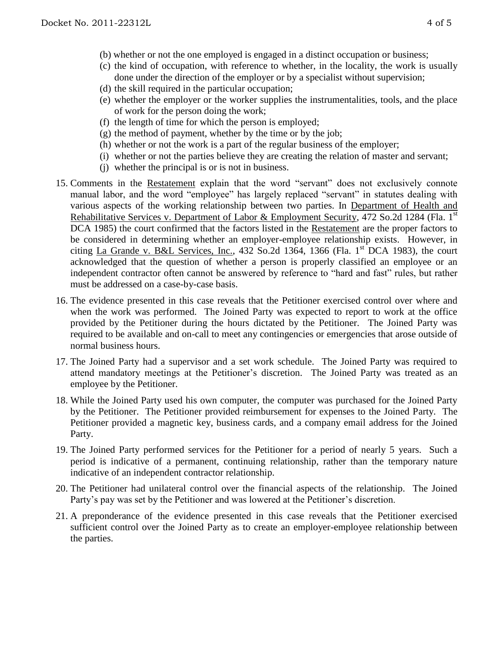- (b) whether or not the one employed is engaged in a distinct occupation or business;
- (c) the kind of occupation, with reference to whether, in the locality, the work is usually done under the direction of the employer or by a specialist without supervision;
- (d) the skill required in the particular occupation;
- (e) whether the employer or the worker supplies the instrumentalities, tools, and the place of work for the person doing the work;
- (f) the length of time for which the person is employed;
- (g) the method of payment, whether by the time or by the job;
- (h) whether or not the work is a part of the regular business of the employer;
- (i) whether or not the parties believe they are creating the relation of master and servant;
- (j) whether the principal is or is not in business.
- 15. Comments in the Restatement explain that the word "servant" does not exclusively connote manual labor, and the word "employee" has largely replaced "servant" in statutes dealing with various aspects of the working relationship between two parties. In Department of Health and Rehabilitative Services v. Department of Labor & Employment Security, 472 So.2d 1284 (Fla. 1<sup>st</sup> DCA 1985) the court confirmed that the factors listed in the Restatement are the proper factors to be considered in determining whether an employer-employee relationship exists. However, in citing La Grande v. B&L Services, Inc., 432 So.2d 1364, 1366 (Fla. 1st DCA 1983), the court acknowledged that the question of whether a person is properly classified an employee or an independent contractor often cannot be answered by reference to "hard and fast" rules, but rather must be addressed on a case-by-case basis.
- 16. The evidence presented in this case reveals that the Petitioner exercised control over where and when the work was performed. The Joined Party was expected to report to work at the office provided by the Petitioner during the hours dictated by the Petitioner. The Joined Party was required to be available and on-call to meet any contingencies or emergencies that arose outside of normal business hours.
- 17. The Joined Party had a supervisor and a set work schedule. The Joined Party was required to attend mandatory meetings at the Petitioner's discretion. The Joined Party was treated as an employee by the Petitioner.
- 18. While the Joined Party used his own computer, the computer was purchased for the Joined Party by the Petitioner. The Petitioner provided reimbursement for expenses to the Joined Party. The Petitioner provided a magnetic key, business cards, and a company email address for the Joined Party.
- 19. The Joined Party performed services for the Petitioner for a period of nearly 5 years. Such a period is indicative of a permanent, continuing relationship, rather than the temporary nature indicative of an independent contractor relationship.
- 20. The Petitioner had unilateral control over the financial aspects of the relationship. The Joined Party's pay was set by the Petitioner and was lowered at the Petitioner's discretion.
- 21. A preponderance of the evidence presented in this case reveals that the Petitioner exercised sufficient control over the Joined Party as to create an employer-employee relationship between the parties.